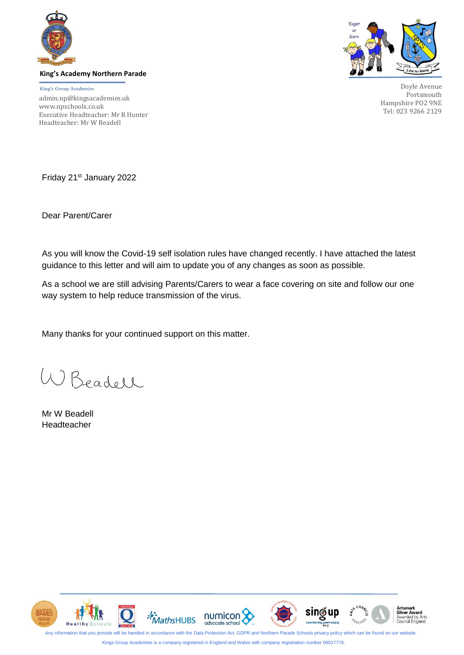

**King's Academy Northern Parade**

King's Group Academies admin.np@kingsacademies.uk [www.npschools.co.uk](http://www.npschools.co.uk/parents/letters/) Executive Headteacher: Mr R Hunter Headteacher: Mr W Beadell



Doyle Avenue Portsmouth Hampshire PO2 9NE Tel: 023 9266 2129

Friday 21<sup>st</sup> January 2022

Dear Parent/Carer

As you will know the Covid-19 self isolation rules have changed recently. I have attached the latest guidance to this letter and will aim to update you of any changes as soon as possible.

As a school we are still advising Parents/Carers to wear a face covering on site and follow our one way system to help reduce transmission of the virus.

Many thanks for your continued support on this matter.

W Beadell

Mr W Beadell Headteacher